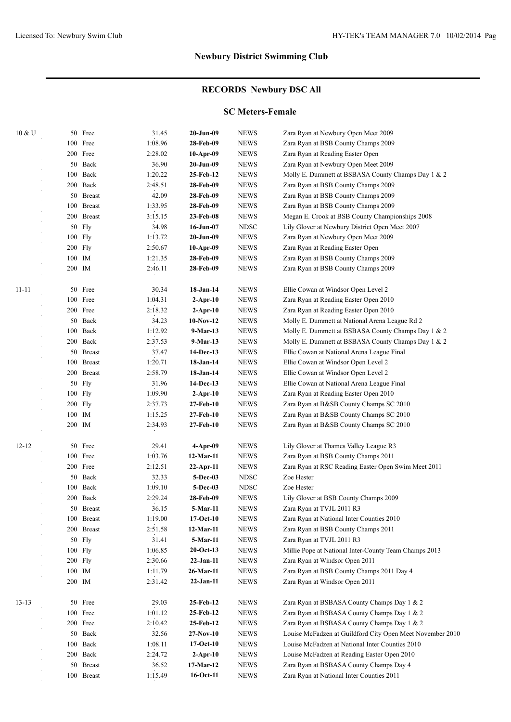## **RECORDS Newbury DSC All**

#### **SC Meters-Female**

| 10 & U    |           | 50 Free       | 31.45   | 20-Jun-09       | <b>NEWS</b> | Zara Ryan at Newbury Open Meet 2009                       |
|-----------|-----------|---------------|---------|-----------------|-------------|-----------------------------------------------------------|
|           |           | 100 Free      | 1:08.96 | 28-Feb-09       | <b>NEWS</b> | Zara Ryan at BSB County Champs 2009                       |
|           |           | 200 Free      | 2:28.02 | $10-Apr-09$     | <b>NEWS</b> | Zara Ryan at Reading Easter Open                          |
|           |           | 50 Back       | 36.90   | 20-Jun-09       | <b>NEWS</b> | Zara Ryan at Newbury Open Meet 2009                       |
|           |           | 100 Back      | 1:20.22 | 25-Feb-12       | <b>NEWS</b> | Molly E. Dummett at BSBASA County Champs Day 1 & 2        |
|           |           | 200 Back      | 2:48.51 | 28-Feb-09       | <b>NEWS</b> | Zara Ryan at BSB County Champs 2009                       |
|           |           | 50 Breast     | 42.09   | 28-Feb-09       | <b>NEWS</b> | Zara Ryan at BSB County Champs 2009                       |
|           |           | 100 Breast    | 1:33.95 | 28-Feb-09       | <b>NEWS</b> | Zara Ryan at BSB County Champs 2009                       |
|           |           | 200 Breast    | 3:15.15 | 23-Feb-08       | <b>NEWS</b> | Megan E. Crook at BSB County Championships 2008           |
|           |           | 50 Fly        | 34.98   | $16$ -Jun-07    | <b>NDSC</b> | Lily Glover at Newbury District Open Meet 2007            |
|           |           | 100 Fly       | 1:13.72 | 20-Jun-09       | <b>NEWS</b> | Zara Ryan at Newbury Open Meet 2009                       |
|           | 200 Fly   |               | 2:50.67 | $10-Apr-09$     | <b>NEWS</b> | Zara Ryan at Reading Easter Open                          |
|           | 100 IM    |               | 1:21.35 | 28-Feb-09       | <b>NEWS</b> | Zara Ryan at BSB County Champs 2009                       |
|           | 200 IM    |               | 2:46.11 | 28-Feb-09       | <b>NEWS</b> | Zara Ryan at BSB County Champs 2009                       |
| $11 - 11$ |           | 50 Free       | 30.34   | 18-Jan-14       | <b>NEWS</b> | Ellie Cowan at Windsor Open Level 2                       |
|           |           | 100 Free      | 1:04.31 | $2-Apr-10$      | <b>NEWS</b> | Zara Ryan at Reading Easter Open 2010                     |
|           |           | 200 Free      | 2:18.32 | $2-Apr-10$      | <b>NEWS</b> | Zara Ryan at Reading Easter Open 2010                     |
|           |           | 50 Back       | 34.23   | $10-Nov-12$     | <b>NEWS</b> | Molly E. Dummett at National Arena League Rd 2            |
|           | 100       | Back          | 1:12.92 | 9-Mar-13        | <b>NEWS</b> | Molly E. Dummett at BSBASA County Champs Day 1 & 2        |
|           | 200       | Back          | 2:37.53 | $9-Mar-13$      | <b>NEWS</b> | Molly E. Dummett at BSBASA County Champs Day 1 & 2        |
|           | 50        | <b>Breast</b> | 37.47   | 14-Dec-13       | <b>NEWS</b> | Ellie Cowan at National Arena League Final                |
|           | 100       | <b>Breast</b> | 1:20.71 | $18 - Jan-14$   | <b>NEWS</b> | Ellie Cowan at Windsor Open Level 2                       |
|           | 200       | <b>Breast</b> | 2:58.79 | $18-Jan-14$     | <b>NEWS</b> | Ellie Cowan at Windsor Open Level 2                       |
|           | 50        | Fly           | 31.96   | 14-Dec-13       | <b>NEWS</b> | Ellie Cowan at National Arena League Final                |
|           |           | $100$ Fly     | 1:09.90 | $2$ -Apr-10     | <b>NEWS</b> | Zara Ryan at Reading Easter Open 2010                     |
|           | 200       | Fly           | 2:37.73 | 27-Feb-10       | <b>NEWS</b> | Zara Ryan at B&SB County Champs SC 2010                   |
|           | 100 IM    |               | 1:15.25 | 27-Feb-10       | <b>NEWS</b> | Zara Ryan at B&SB County Champs SC 2010                   |
|           | 200 IM    |               | 2:34.93 | 27-Feb-10       | <b>NEWS</b> | Zara Ryan at B&SB County Champs SC 2010                   |
| $12 - 12$ |           | 50 Free       | 29.41   | 4-Apr-09        | <b>NEWS</b> | Lily Glover at Thames Valley League R3                    |
|           |           | 100 Free      | 1:03.76 | 12-Mar-11       | <b>NEWS</b> | Zara Ryan at BSB County Champs 2011                       |
|           |           | 200 Free      | 2:12.51 | $22$ -Apr-11    | <b>NEWS</b> | Zara Ryan at RSC Reading Easter Open Swim Meet 2011       |
|           |           | 50 Back       | 32.33   | 5-Dec-03        | <b>NDSC</b> | Zoe Hester                                                |
|           |           | 100 Back      | 1:09.10 | <b>5-Dec-03</b> | <b>NDSC</b> | Zoe Hester                                                |
|           | 200       | Back          | 2:29.24 | 28-Feb-09       | <b>NEWS</b> | Lily Glover at BSB County Champs 2009                     |
|           |           | 50 Breast     | 36.15   | 5-Mar-11        | <b>NEWS</b> | Zara Ryan at TVJL 2011 R3                                 |
|           |           | 100 Breast    | 1:19.00 | $17-Oct-10$     | <b>NEWS</b> | Zara Ryan at National Inter Counties 2010                 |
|           |           | 200 Breast    | 2:51.58 | $12-Mar-11$     | <b>NEWS</b> | Zara Ryan at BSB County Champs 2011                       |
|           |           | 50 Fly        | 31.41   | 5-Mar-11        | <b>NEWS</b> | Zara Ryan at TVJL 2011 R3                                 |
|           |           | 100 Fly       | 1:06.85 | $20$ -Oct-13    | <b>NEWS</b> | Millie Pope at National Inter-County Team Champs 2013     |
|           | $200$ Fly |               | 2:30.66 | $22-Jan-11$     | <b>NEWS</b> | Zara Ryan at Windsor Open 2011                            |
|           | 100 IM    |               | 1:11.79 | 26-Mar-11       | <b>NEWS</b> | Zara Ryan at BSB County Champs 2011 Day 4                 |
|           | 200 IM    |               | 2:31.42 | $22-Jan-11$     | <b>NEWS</b> | Zara Ryan at Windsor Open 2011                            |
| $13 - 13$ |           | 50 Free       | 29.03   | 25-Feb-12       | <b>NEWS</b> | Zara Ryan at BSBASA County Champs Day 1 & 2               |
|           |           | 100 Free      | 1:01.12 | 25-Feb-12       | <b>NEWS</b> | Zara Ryan at BSBASA County Champs Day 1 & 2               |
|           |           | 200 Free      | 2:10.42 | 25-Feb-12       | <b>NEWS</b> | Zara Ryan at BSBASA County Champs Day 1 & 2               |
|           |           | 50 Back       | 32.56   | $27-Nov-10$     | <b>NEWS</b> | Louise McFadzen at Guildford City Open Meet November 2010 |
|           |           | 100 Back      | 1:08.11 | $17-Oct-10$     | <b>NEWS</b> | Louise McFadzen at National Inter Counties 2010           |
|           |           | 200 Back      | 2:24.72 | $2$ -Apr-10     | <b>NEWS</b> | Louise McFadzen at Reading Easter Open 2010               |
|           |           | 50 Breast     | 36.52   | 17-Mar-12       | <b>NEWS</b> | Zara Ryan at BSBASA County Champs Day 4                   |
|           |           | 100 Breast    | 1:15.49 | 16-Oct-11       | <b>NEWS</b> | Zara Ryan at National Inter Counties 2011                 |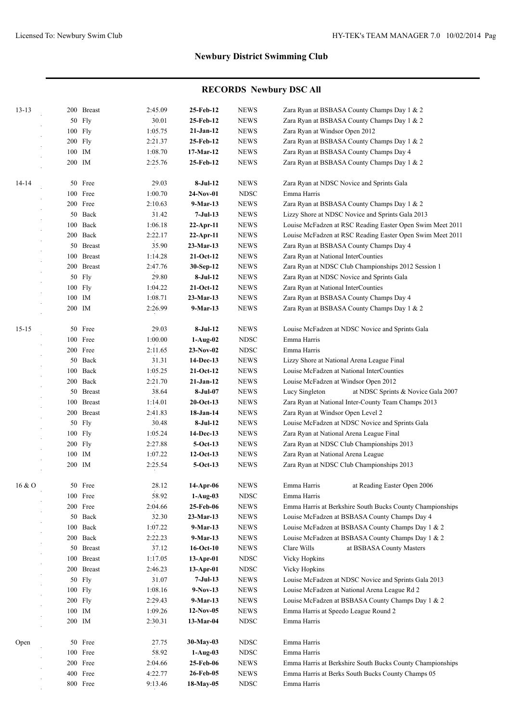|           |        |               |         | 25-Feb-12    | <b>NEWS</b> | Zara Ryan at BSBASA County Champs Day 1 & 2               |
|-----------|--------|---------------|---------|--------------|-------------|-----------------------------------------------------------|
| $13 - 13$ |        | 200 Breast    | 2:45.09 |              |             |                                                           |
|           | 50     | Fly           | 30.01   | 25-Feb-12    | <b>NEWS</b> | Zara Ryan at BSBASA County Champs Day 1 & 2               |
|           | 100    | Fly           | 1:05.75 | $21-Jan-12$  | <b>NEWS</b> | Zara Ryan at Windsor Open 2012                            |
|           |        | $200$ Fly     | 2:21.37 | 25-Feb-12    | <b>NEWS</b> | Zara Ryan at BSBASA County Champs Day 1 & 2               |
|           | 100 IM |               | 1:08.70 | 17-Mar-12    | <b>NEWS</b> | Zara Ryan at BSBASA County Champs Day 4                   |
|           | 200 IM |               | 2:25.76 | 25-Feb-12    | <b>NEWS</b> | Zara Ryan at BSBASA County Champs Day 1 & 2               |
| 14-14     |        | 50 Free       | 29.03   | $8-Jul-12$   | <b>NEWS</b> | Zara Ryan at NDSC Novice and Sprints Gala                 |
|           |        | 100 Free      | 1:00.70 | $24-Nov-01$  | <b>NDSC</b> | Emma Harris                                               |
|           |        | 200 Free      | 2:10.63 | 9-Mar-13     | <b>NEWS</b> | Zara Ryan at BSBASA County Champs Day 1 & 2               |
|           |        | 50 Back       | 31.42   | $7-Jul-13$   | <b>NEWS</b> | Lizzy Shore at NDSC Novice and Sprints Gala 2013          |
|           |        | 100 Back      | 1:06.18 | $22$ -Apr-11 | <b>NEWS</b> | Louise McFadzen at RSC Reading Easter Open Swim Meet 2011 |
|           |        | 200 Back      | 2:22.17 | $22$ -Apr-11 | <b>NEWS</b> | Louise McFadzen at RSC Reading Easter Open Swim Meet 2011 |
|           |        | 50 Breast     | 35.90   | $23-Mar-13$  | <b>NEWS</b> | Zara Ryan at BSBASA County Champs Day 4                   |
|           |        | 100 Breast    | 1:14.28 | $21-Oct-12$  | <b>NEWS</b> | Zara Ryan at National InterCounties                       |
|           |        | 200 Breast    | 2:47.76 | 30-Sep-12    | <b>NEWS</b> | Zara Ryan at NDSC Club Championships 2012 Session 1       |
|           | 50     | <b>Fly</b>    | 29.80   | $8-Jul-12$   | <b>NEWS</b> | Zara Ryan at NDSC Novice and Sprints Gala                 |
|           |        | 100 Fly       | 1:04.22 | 21-Oct-12    | <b>NEWS</b> | Zara Ryan at National InterCounties                       |
|           | 100 IM |               | 1:08.71 | $23-Mar-13$  | <b>NEWS</b> | Zara Ryan at BSBASA County Champs Day 4                   |
|           | 200 IM |               | 2:26.99 | 9-Mar-13     | <b>NEWS</b> | Zara Ryan at BSBASA County Champs Day 1 & 2               |
|           |        |               |         |              |             |                                                           |
| $15 - 15$ |        | 50 Free       | 29.03   | $8-Jul-12$   | <b>NEWS</b> | Louise McFadzen at NDSC Novice and Sprints Gala           |
|           |        | 100 Free      | 1:00.00 | $1-Aug-02$   | <b>NDSC</b> | Emma Harris                                               |
|           |        | 200 Free      | 2:11.65 | $23-Nov-02$  | <b>NDSC</b> | Emma Harris                                               |
|           |        | 50 Back       | 31.31   | 14-Dec-13    | <b>NEWS</b> | Lizzy Shore at National Arena League Final                |
|           |        | 100 Back      | 1:05.25 | $21-Oct-12$  | <b>NEWS</b> | Louise McFadzen at National InterCounties                 |
|           |        | 200 Back      | 2:21.70 | $21-Jan-12$  | <b>NEWS</b> | Louise McFadzen at Windsor Open 2012                      |
|           |        | 50 Breast     | 38.64   | 8-Jul-07     | <b>NEWS</b> | at NDSC Sprints & Novice Gala 2007<br>Lucy Singleton      |
|           |        | 100 Breast    | 1:14.01 | $20$ -Oct-13 | <b>NEWS</b> | Zara Ryan at National Inter-County Team Champs 2013       |
|           |        | 200 Breast    | 2:41.83 | 18-Jan-14    | <b>NEWS</b> | Zara Ryan at Windsor Open Level 2                         |
|           | 50     | Fly           | 30.48   | $8-Jul-12$   | <b>NEWS</b> | Louise McFadzen at NDSC Novice and Sprints Gala           |
|           |        | 100 Fly       | 1:05.24 | 14-Dec-13    | <b>NEWS</b> | Zara Ryan at National Arena League Final                  |
|           |        | $200$ Fly     | 2:27.88 | $5-Oct-13$   | <b>NEWS</b> | Zara Ryan at NDSC Club Championships 2013                 |
|           | 100 IM |               | 1:07.22 | $12-Oct-13$  | <b>NEWS</b> | Zara Ryan at National Arena League                        |
|           | 200 IM |               | 2:25.54 | $5-Oct-13$   | <b>NEWS</b> | Zara Ryan at NDSC Club Championships 2013                 |
|           |        |               |         |              |             |                                                           |
| 16 & O    |        | 50 Free       | 28.12   | 14-Apr-06    | <b>NEWS</b> | Emma Harris<br>at Reading Easter Open 2006                |
|           |        | 100 Free      | 58.92   | $1-Auq-03$   | <b>NDSC</b> | Emma Harris                                               |
|           |        | 200 Free      | 2:04.66 | 25-Feb-06    | <b>NEWS</b> | Emma Harris at Berkshire South Bucks County Championships |
|           | 50     | Back          | 32.30   | 23-Mar-13    | <b>NEWS</b> | Louise McFadzen at BSBASA County Champs Day 4             |
|           | 100    | Back          | 1:07.22 | 9-Mar-13     | <b>NEWS</b> | Louise McFadzen at BSBASA County Champs Day 1 & 2         |
|           |        | 200 Back      | 2:22.23 | 9-Mar-13     | <b>NEWS</b> | Louise McFadzen at BSBASA County Champs Day 1 & 2         |
|           |        | 50 Breast     | 37.12   | $16-Oct-10$  | <b>NEWS</b> | Clare Wills<br>at BSBASA County Masters                   |
|           | 100    | <b>Breast</b> | 1:17.05 | $13-Apr-01$  | <b>NDSC</b> | <b>Vicky Hopkins</b>                                      |
|           |        | 200 Breast    | 2:46.23 | $13-Apr-01$  | <b>NDSC</b> | <b>Vicky Hopkins</b>                                      |
|           |        | 50 Fly        | 31.07   | $7-Jul-13$   | <b>NEWS</b> | Louise McFadzen at NDSC Novice and Sprints Gala 2013      |
|           |        | 100 Fly       | 1:08.16 | $9-Nov-13$   | <b>NEWS</b> | Louise McFadzen at National Arena League Rd 2             |
|           |        | $200$ Fly     | 2:29.43 | 9-Mar-13     | <b>NEWS</b> | Louise McFadzen at BSBASA County Champs Day 1 & 2         |
|           | 100 IM |               | 1:09.26 | $12-Nov-05$  | <b>NEWS</b> | Emma Harris at Speedo League Round 2                      |
|           | 200 IM |               | 2:30.31 | 13-Mar-04    | <b>NDSC</b> | Emma Harris                                               |
| Open      |        | 50 Free       | 27.75   | 30-May-03    | <b>NDSC</b> | Emma Harris                                               |
|           |        | 100 Free      | 58.92   | $1-Aug-03$   | <b>NDSC</b> | Emma Harris                                               |
|           |        | 200 Free      | 2:04.66 | 25-Feb-06    | <b>NEWS</b> | Emma Harris at Berkshire South Bucks County Championships |
|           |        | 400 Free      | 4:22.77 | 26-Feb-05    | <b>NEWS</b> | Emma Harris at Berks South Bucks County Champs 05         |
|           |        | 800 Free      | 9:13.46 | 18-May-05    | <b>NDSC</b> | Emma Harris                                               |
|           |        |               |         |              |             |                                                           |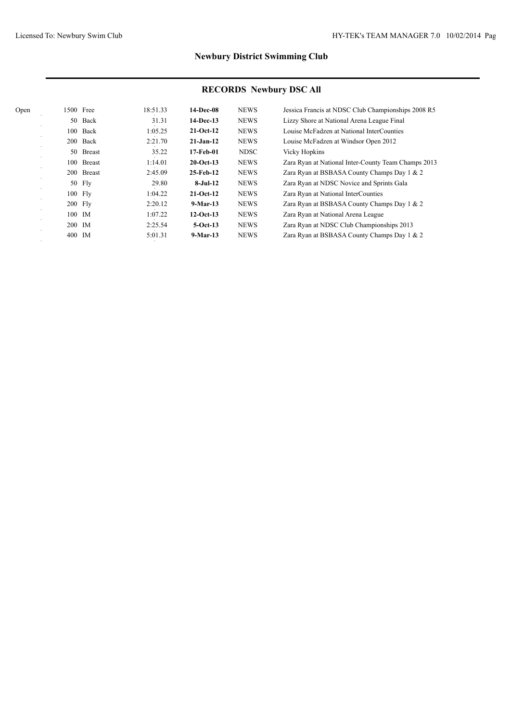| 14-Dec-08<br><b>NEWS</b><br>18:51.33<br>Jessica Francis at NDSC Club Championships 2008 R5<br>1500 Free<br>Open       |  |
|-----------------------------------------------------------------------------------------------------------------------|--|
| <b>NEWS</b><br>Back<br>31.31<br>$14-Dec-13$<br>Lizzy Shore at National Arena League Final<br>50                       |  |
| Back<br>1:05.25<br><b>NEWS</b><br>$21-Oct-12$<br>Louise McFadzen at National InterCounties<br>100                     |  |
| 2:21.70<br><b>NEWS</b><br>Louise McFadzen at Windsor Open 2012<br>200 Back<br>$21-Jan-12$                             |  |
| 35.22<br><b>NDSC</b><br><b>Vicky Hopkins</b><br><b>Breast</b><br>17-Feb-01<br>50                                      |  |
| $20$ -Oct-13<br><b>NEWS</b><br><b>Breast</b><br>1:14.01<br>100<br>Zara Ryan at National Inter-County Team Champs 2013 |  |
| <b>NEWS</b><br>2:45.09<br>200 Breast<br>25-Feb-12<br>Zara Ryan at BSBASA County Champs Day 1 & 2                      |  |
| <b>NEWS</b><br>50 Fly<br>29.80<br>$8-Jul-12$<br>Zara Ryan at NDSC Novice and Sprints Gala                             |  |
| <b>NEWS</b><br>100 Fly<br>1:04.22<br>$21-Oct-12$<br>Zara Ryan at National InterCounties                               |  |
| 2:20.12<br><b>NEWS</b><br>$200$ Fly<br>Zara Ryan at BSBASA County Champs Day 1 & 2<br>$9-Mar-13$                      |  |
| $12-Oct-13$<br>100 IM<br><b>NEWS</b><br>1:07.22<br>Zara Ryan at National Arena League                                 |  |
| 200 IM<br><b>NEWS</b><br>2:25.54<br>$5-Oct-13$<br>Zara Ryan at NDSC Club Championships 2013                           |  |
| <b>NEWS</b><br>$9-Mar-13$<br>Zara Ryan at BSBASA County Champs Day 1 & 2<br>400 IM<br>5:01.31                         |  |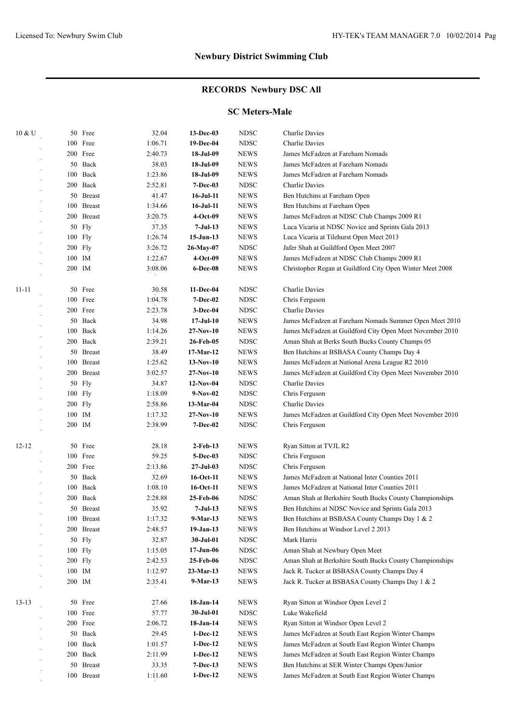#### **RECORDS Newbury DSC All**

#### **SC Meters-Male**

| 10 & U    |        | 50 Free       | 32.04   | 13-Dec-03        | <b>NDSC</b> | Charlie Davies                                            |
|-----------|--------|---------------|---------|------------------|-------------|-----------------------------------------------------------|
|           |        | 100 Free      | 1:06.71 | 19-Dec-04        | <b>NDSC</b> | Charlie Davies                                            |
|           |        | 200 Free      | 2:40.73 | 18-Jul-09        | <b>NEWS</b> | James McFadzen at Fareham Nomads                          |
|           |        | 50 Back       | 38.03   | 18-Jul-09        | <b>NEWS</b> | James McFadzen at Fareham Nomads                          |
|           |        | 100 Back      | 1:23.86 | 18-Jul-09        | <b>NEWS</b> | James McFadzen at Fareham Nomads                          |
|           |        | 200 Back      | 2:52.81 | $7 - Dec-03$     | <b>NDSC</b> | Charlie Davies                                            |
|           |        | 50 Breast     | 41.47   | 16-Jul-11        | <b>NEWS</b> | Ben Hutchins at Fareham Open                              |
|           |        | 100 Breast    | 1:34.66 | 16-Jul-11        | <b>NEWS</b> | Ben Hutchins at Fareham Open                              |
|           |        | 200 Breast    | 3:20.75 | 4-Oct-09         | <b>NEWS</b> | James McFadzen at NDSC Club Champs 2009 R1                |
|           |        | 50 Fly        | 37.35   | $7-Jul-13$       | <b>NEWS</b> | Luca Vicaria at NDSC Novice and Sprints Gala 2013         |
|           |        | 100 Fly       | 1:26.74 | $15-Jun-13$      | <b>NEWS</b> | Luca Vicaria at Tilehurst Open Meet 2013                  |
|           |        | 200 Fly       | 3:26.72 | 26-May-07        | <b>NDSC</b> | Jafer Shah at Guildford Open Meet 2007                    |
|           |        | 100 IM        | 1:22.67 | 4-Oct-09         | <b>NEWS</b> | James McFadzen at NDSC Club Champs 2009 R1                |
|           |        | 200 IM        | 3:08.06 | 6-Dec-08         | <b>NEWS</b> | Christopher Regan at Guildford City Open Winter Meet 2008 |
| $11 - 11$ |        | 50 Free       | 30.58   | 11-Dec-04        | <b>NDSC</b> | Charlie Davies                                            |
|           |        | 100 Free      | 1:04.78 | $7 - Dec-02$     | <b>NDSC</b> | Chris Ferguson                                            |
|           |        | 200 Free      | 2:23.78 | $3-Dec-04$       | <b>NDSC</b> | Charlie Davies                                            |
|           |        | 50 Back       | 34.98   | $17 -$ Jul $-10$ | <b>NEWS</b> | James McFadzen at Fareham Nomads Summer Open Meet 2010    |
|           |        | 100 Back      | 1:14.26 | $27-Nov-10$      | <b>NEWS</b> | James McFadzen at Guildford City Open Meet November 2010  |
|           |        | 200 Back      | 2:39.21 | 26-Feb-05        | <b>NDSC</b> | Aman Shah at Berks South Bucks County Champs 05           |
|           |        | 50 Breast     | 38.49   | 17-Mar-12        | <b>NEWS</b> | Ben Hutchins at BSBASA County Champs Day 4                |
|           |        | 100 Breast    | 1:25.62 | $13-Nov-10$      | <b>NEWS</b> | James McFadzen at National Arena League R2 2010           |
|           | 200    | <b>Breast</b> | 3:02.57 | $27-Nov-10$      | <b>NEWS</b> | James McFadzen at Guildford City Open Meet November 2010  |
|           |        | 50 Fly        | 34.87   | $12-Nov-04$      | <b>NDSC</b> | Charlie Davies                                            |
|           |        | $100$ Fly     | 1:18.09 | $9-Nov-02$       | <b>NDSC</b> | Chris Ferguson                                            |
|           |        | 200 Fly       | 2:58.86 | 13-Mar-04        | <b>NDSC</b> | Charlie Davies                                            |
|           |        | 100 IM        | 1:17.32 | $27-Nov-10$      | <b>NEWS</b> | James McFadzen at Guildford City Open Meet November 2010  |
|           |        | 200 IM        | 2:38.99 | <b>7-Dec-02</b>  | <b>NDSC</b> | Chris Ferguson                                            |
| $12 - 12$ |        | 50 Free       | 28.18   | $2$ -Feb-13      | <b>NEWS</b> | Ryan Sitton at TVJL R2                                    |
|           |        | 100 Free      | 59.25   | 5-Dec-03         | <b>NDSC</b> | Chris Ferguson                                            |
|           |        | 200 Free      | 2:13.86 | $27 -$ Jul $-03$ | <b>NDSC</b> | Chris Ferguson                                            |
|           |        | 50 Back       | 32.69   | 16-Oct-11        | <b>NEWS</b> | James McFadzen at National Inter Counties 2011            |
|           |        | 100 Back      | 1:08.10 | 16-Oct-11        | <b>NEWS</b> | James McFadzen at National Inter Counties 2011            |
|           |        | 200 Back      | 2:28.88 | 25-Feb-06        | <b>NDSC</b> | Aman Shah at Berkshire South Bucks County Championships   |
|           |        | 50 Breast     | 35.92   | 7-Jul-13         | <b>NEWS</b> | Ben Hutchins at NDSC Novice and Sprints Gala 2013         |
|           |        | 100 Breast    | 1:17.32 | 9-Mar-13         | <b>NEWS</b> | Ben Hutchins at BSBASA County Champs Day 1 & 2            |
|           |        | 200 Breast    | 2:48.57 | $19-Jan-13$      | <b>NEWS</b> | Ben Hutchins at Windsor Level 2 2013                      |
|           |        | 50 Fly        | 32.87   | 30-Jul-01        | <b>NDSC</b> | Mark Harris                                               |
|           |        | 100 Fly       | 1:15.05 | $17 - Jun-06$    | <b>NDSC</b> | Aman Shah at Newbury Open Meet                            |
|           |        | $200$ Fly     | 2:42.53 | 25-Feb-06        | <b>NDSC</b> | Aman Shah at Berkshire South Bucks County Championships   |
|           |        | 100 IM        | 1:12.97 | 23-Mar-13        | <b>NEWS</b> | Jack R. Tucker at BSBASA County Champs Day 4              |
|           | 200 IM |               | 2:35.41 | 9-Mar-13         | <b>NEWS</b> | Jack R. Tucker at BSBASA County Champs Day 1 & 2          |
| $13-13$   |        | 50 Free       | 27.66   | 18-Jan-14        | <b>NEWS</b> | Ryan Sitton at Windsor Open Level 2                       |
|           |        | 100 Free      | 57.77   | 30-Jul-01        | <b>NDSC</b> | Luke Wakefield                                            |
|           |        | 200 Free      | 2:06.72 | 18-Jan-14        | <b>NEWS</b> | Ryan Sitton at Windsor Open Level 2                       |
|           |        | 50 Back       | 29.45   | $1-Dec-12$       | <b>NEWS</b> | James McFadzen at South East Region Winter Champs         |
|           |        | 100 Back      | 1:01.57 | $1-Dec-12$       | <b>NEWS</b> | James McFadzen at South East Region Winter Champs         |
|           |        | 200 Back      | 2:11.99 | $1-Dec-12$       | <b>NEWS</b> | James McFadzen at South East Region Winter Champs         |
|           |        | 50 Breast     | 33.35   | $7-Dec-13$       | <b>NEWS</b> | Ben Hutchins at SER Winter Champs Open/Junior             |
|           |        | 100 Breast    | 1:11.60 | $1-Dec-12$       | <b>NEWS</b> | James McFadzen at South East Region Winter Champs         |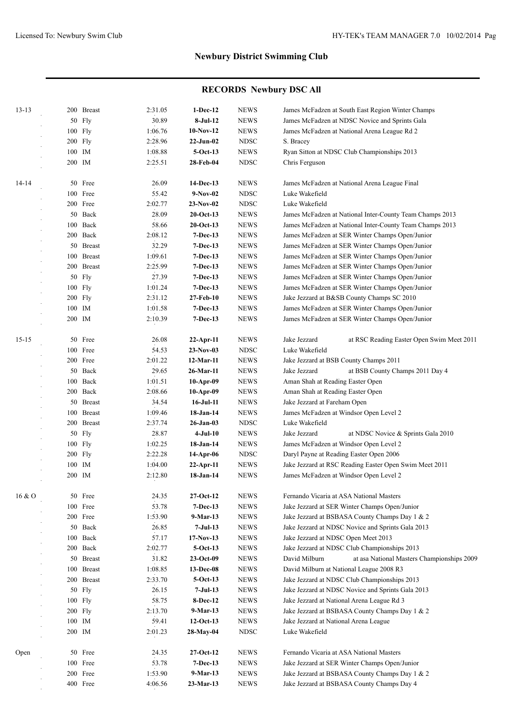| $13 - 13$ | 200 Breast | 2:31.05 | $1-Dec-12$      | <b>NEWS</b> | James McFadzen at South East Region Winter Champs           |
|-----------|------------|---------|-----------------|-------------|-------------------------------------------------------------|
|           | 50 Fly     | 30.89   | $8-Jul-12$      | <b>NEWS</b> | James McFadzen at NDSC Novice and Sprints Gala              |
|           | 100 Fly    | 1:06.76 | $10-Nov-12$     | <b>NEWS</b> | James McFadzen at National Arena League Rd 2                |
|           | $200$ Fly  | 2:28.96 | $22-Jun-02$     | <b>NDSC</b> | S. Bracey                                                   |
|           | 100 IM     | 1:08.88 | $5-Oct-13$      | <b>NEWS</b> | Ryan Sitton at NDSC Club Championships 2013                 |
|           | 200 IM     | 2:25.51 | 28-Feb-04       | <b>NDSC</b> | Chris Ferguson                                              |
| $14 - 14$ | 50 Free    | 26.09   | 14-Dec-13       | <b>NEWS</b> | James McFadzen at National Arena League Final               |
|           | 100 Free   | 55.42   | $9-Nov-02$      | <b>NDSC</b> | Luke Wakefield                                              |
|           | 200 Free   | 2:02.77 | $23-Nov-02$     | <b>NDSC</b> | Luke Wakefield                                              |
|           | 50 Back    | 28.09   | $20$ -Oct-13    | <b>NEWS</b> | James McFadzen at National Inter-County Team Champs 2013    |
|           | 100 Back   | 58.66   | $20$ -Oct-13    | <b>NEWS</b> | James McFadzen at National Inter-County Team Champs 2013    |
|           | 200 Back   | 2:08.12 | $7-Dec-13$      | <b>NEWS</b> | James McFadzen at SER Winter Champs Open/Junior             |
|           | 50 Breast  | 32.29   | $7-Dec-13$      | <b>NEWS</b> | James McFadzen at SER Winter Champs Open/Junior             |
|           | 100 Breast | 1:09.61 | $7-Dec-13$      | <b>NEWS</b> | James McFadzen at SER Winter Champs Open/Junior             |
|           | 200 Breast | 2:25.99 | $7-Dec-13$      | <b>NEWS</b> | James McFadzen at SER Winter Champs Open/Junior             |
|           | 50 Fly     | 27.39   | $7-Dec-13$      | <b>NEWS</b> | James McFadzen at SER Winter Champs Open/Junior             |
|           | 100 Fly    | 1:01.24 | $7-Dec-13$      | <b>NEWS</b> | James McFadzen at SER Winter Champs Open/Junior             |
|           | 200 Fly    | 2:31.12 | 27-Feb-10       | <b>NEWS</b> | Jake Jezzard at B&SB County Champs SC 2010                  |
|           | 100 IM     | 1:01.58 | 7-Dec-13        | <b>NEWS</b> | James McFadzen at SER Winter Champs Open/Junior             |
|           | 200 IM     | 2:10.39 | $7-Dec-13$      | <b>NEWS</b> | James McFadzen at SER Winter Champs Open/Junior             |
| $15 - 15$ | 50 Free    | 26.08   | 22-Apr-11       | <b>NEWS</b> | Jake Jezzard<br>at RSC Reading Easter Open Swim Meet 2011   |
|           | 100 Free   | 54.53   | $23-Nov-03$     | <b>NDSC</b> | Luke Wakefield                                              |
|           | 200 Free   | 2:01.22 | 12-Mar-11       | <b>NEWS</b> | Jake Jezzard at BSB County Champs 2011                      |
|           | 50 Back    | 29.65   | 26-Mar-11       | <b>NEWS</b> | Jake Jezzard<br>at BSB County Champs 2011 Day 4             |
|           | 100 Back   | 1:01.51 | $10-Apr-09$     | <b>NEWS</b> | Aman Shah at Reading Easter Open                            |
|           | 200 Back   | 2:08.66 | $10-Apr-09$     | <b>NEWS</b> | Aman Shah at Reading Easter Open                            |
|           | 50 Breast  | 34.54   | $16$ -Jul- $11$ | <b>NEWS</b> | Jake Jezzard at Fareham Open                                |
|           | 100 Breast | 1:09.46 | 18-Jan-14       | <b>NEWS</b> | James McFadzen at Windsor Open Level 2                      |
|           | 200 Breast | 2:37.74 | 26-Jan-03       | <b>NDSC</b> | Luke Wakefield                                              |
|           | 50 Fly     | 28.87   | $4-Jul-10$      | <b>NEWS</b> | Jake Jezzard<br>at NDSC Novice & Sprints Gala 2010          |
|           | 100 Fly    | 1:02.25 | 18-Jan-14       | <b>NEWS</b> | James McFadzen at Windsor Open Level 2                      |
|           | $200$ Fly  | 2:22.28 | 14-Apr-06       | <b>NDSC</b> | Daryl Payne at Reading Easter Open 2006                     |
|           | 100 IM     | 1:04.00 | $22-Apr-11$     | <b>NEWS</b> | Jake Jezzard at RSC Reading Easter Open Swim Meet 2011      |
|           | 200 IM     | 2:12.80 | 18-Jan-14       | <b>NEWS</b> | James McFadzen at Windsor Open Level 2                      |
| 16 & O    | 50 Free    | 24.35   | 27-Oct-12       | <b>NEWS</b> | Fernando Vicaria at ASA National Masters                    |
|           | 100 Free   | 53.78   | 7-Dec-13        | <b>NEWS</b> | Jake Jezzard at SER Winter Champs Open/Junior               |
|           | 200 Free   | 1:53.90 | $9-Mar-13$      | <b>NEWS</b> | Jake Jezzard at BSBASA County Champs Day 1 & 2              |
|           | 50 Back    | 26.85   | $7-Jul-13$      | <b>NEWS</b> | Jake Jezzard at NDSC Novice and Sprints Gala 2013           |
|           | 100 Back   | 57.17   | $17-Nov-13$     | <b>NEWS</b> | Jake Jezzard at NDSC Open Meet 2013                         |
|           | 200 Back   | 2:02.77 | $5-Oct-13$      | <b>NEWS</b> | Jake Jezzard at NDSC Club Championships 2013                |
|           | 50 Breast  | 31.82   | 23-Oct-09       | <b>NEWS</b> | David Milburn<br>at asa National Masters Championships 2009 |
|           | 100 Breast | 1:08.85 | 13-Dec-08       | <b>NEWS</b> | David Milburn at National League 2008 R3                    |
|           | 200 Breast | 2:33.70 | $5-Oct-13$      | <b>NEWS</b> | Jake Jezzard at NDSC Club Championships 2013                |
|           | 50 Fly     | 26.15   | $7-Jul-13$      | <b>NEWS</b> | Jake Jezzard at NDSC Novice and Sprints Gala 2013           |
|           | $100$ Fly  | 58.75   | 8-Dec-12        | <b>NEWS</b> | Jake Jezzard at National Arena League Rd 3                  |
|           | $200$ Fly  | 2:13.70 | $9-Mar-13$      | <b>NEWS</b> | Jake Jezzard at BSBASA County Champs Day 1 & 2              |
|           | 100 IM     | 59.41   | $12-Oct-13$     | <b>NEWS</b> | Jake Jezzard at National Arena League                       |
|           | 200 IM     | 2:01.23 | 28-May-04       | <b>NDSC</b> | Luke Wakefield                                              |
| Open      | 50 Free    | 24.35   | $27-Oct-12$     | <b>NEWS</b> | Fernando Vicaria at ASA National Masters                    |
|           | 100 Free   | 53.78   | 7-Dec-13        | <b>NEWS</b> | Jake Jezzard at SER Winter Champs Open/Junior               |
|           | 200 Free   | 1:53.90 | $9-Mar-13$      | <b>NEWS</b> | Jake Jezzard at BSBASA County Champs Day 1 & 2              |
|           | 400 Free   | 4:06.56 | 23-Mar-13       | <b>NEWS</b> | Jake Jezzard at BSBASA County Champs Day 4                  |
|           |            |         |                 |             |                                                             |